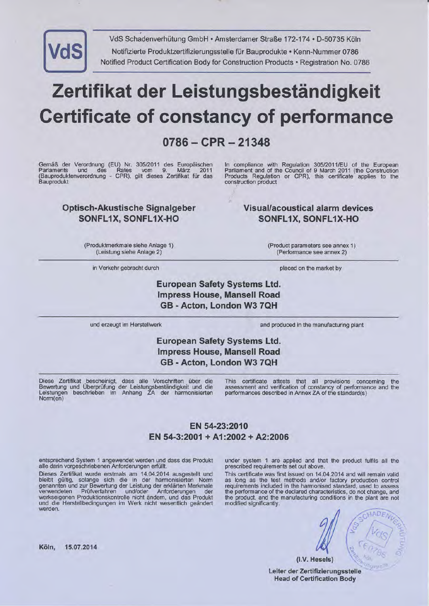

VdS Schadenverhütung GmbH · Amsterdamer Straße 172-174 · D-50735 Köln Notifizierte Produktzertifizierungsstelle für Bauprodukte · Kenn-Nummer 0786 Notified Product Certification Body for Construction Products . Registration No. 0786

# Zertifikat der Leistungsbeständigkeit Gertificate of constancy of performance

# 0786-CPR-21348

Gemäß der Verordnung (EU) Nr. 305/2011 des Europäischen<br>Parlaments und des Rates vom 9. März 2011 (Bauproduktenverordnung - CPR), gilt dieses Zertifikat filr das **Bauprodukt** 

### Optisch-Akustische Signalgeber SONFL1X, SONFL1X.HO

ln compliance with Regulation 3OSl2011lEU of the European Parliament and of the Council of 9 March 2011 (the Construction Products Regulation or CPR), this certificate applies to the construction product

### Visual/acoustical alarm devices SONFL1X, SONFL1X-HO

(Produktrnerkmale siehe Anlage 1) (Leistung siehe Anlage 2)

in Verkehr gebracht durch placed on the market by

(Product parameters see annex 1 ) (Performance see annex 2)

European Safety Systems Ltd. lmpress House, Mansell Road GB - Acton, London W3 7QH

und erzeugt im Herstellwerk and produced in the manufacturing plant

## European Safety Systems Ltd. lmpress House, Mansell Road GB - Acton, London W3 7QH

Diese Zertifikat bescheinigt, dass alle Vorschriften über die<br>Bewertung und Überprüfung der Leistungsbeständigkeit und die<br>Leistungen beschrieben im Anhang ZA der harmonisierten Norm(en)

This certificate attests that all provisions concerning the assessment and verification of constancy of performance and the performances described in Annex ZA of the standard(s)

## EN 54-23:2010 EN 54-3:2001 + A1:2002 + A2:2006

entsprechend System 1 angewendet werden und dass das Produkt alle darin vorgeschriebenen Anforderungen erfiillt.

Dieses Zertifikat wurde erstmals am 14.04.2014 ausgestellt und<br>bleibt gültig, solange sich die in der harmonisierten Norm<br>genannten und zur Bewertung der Leistung der erklärten Merkmale verwendeten Prüfverfahren und/oder Anforderungen der verwendeten Prüfverfahren und/oder Anforderungen der werkseigenen Produktionskontrolle nicht ändern, und das Produkt und die Herstellbedingungen im Werk nicht wesentlich geändert werden.

under system 1 are applied and that the product fulfils all the prescribed requirements set out above.

This certificate was first issued on 14.04.2014 and will remain valid as long as the test methods and/or factory production control requirements included in the harmonised standard, used to assess the performance of the declared characteristics, do not change, and the product, and the manufacturing conditions in the plant are not the product, and the manufacturing conditions in the plant are not modified significantly.

 $\mathcal{L} \subset \mathcal{L}$ 

-

 $\mathbf{t}$ 

 $ADF$  $\sim$ 

I

 $\mu_{\rm O}$ 

 $\frac{1}{8}$   $\frac{1}{8}$   $\frac{6}{8}$   $\frac{6}{8}$ 

(i.V. Hesels) Leiter der Zertifizierungsstelle Head of Gertification Body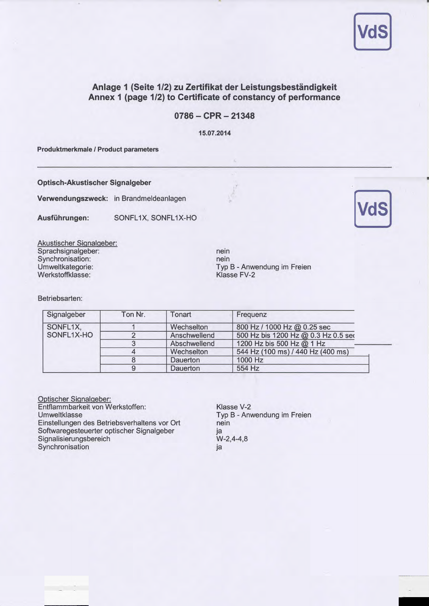

#### Anlage 1 (Seite 1/2) zu Zertifikat der Leistungsbeständigkeit Annex 1 (page 1/2) to Certificate of constancy of performance

#### $0786 - CPR - 21348$

15.07.2014

Produktmerkmale / Product parameters

Optisch-Akustischer Signalgeber

Verwendungszweck: in Brandmeldeanlagen

Ausführungen: SONFL1X, SONFL1X-HO

Akustischer Siqnalqeber: Sprachsignalgeber: Synchronisation: Umweltkategorie: Werkstoffklasse:

nein nein Typ B - Anwendung im Freien Klasse FV-2

Betriebsarten:

| Signalgeber | Ton Nr. | Tonart       | Frequenz                            |
|-------------|---------|--------------|-------------------------------------|
| SONFL1X,    |         | Wechselton   | 800 Hz / 1000 Hz @ 0.25 sec         |
| SONFL1X-HO  |         | Anschwellend | 500 Hz bis 1200 Hz @ 0.3 Hz 0.5 ser |
|             |         | Abschwellend | 1200 Hz bis 500 Hz @ 1 Hz           |
|             |         | Wechselton   | 544 Hz (100 ms) / 440 Hz (400 ms)   |
|             |         | Dauerton     | 1000 Hz                             |
|             | 9       | Dauerton     | 554 Hz                              |

Optischer Signalgeber: Entflammbarkeit von Werkstoffen: Umweltklasse Einstellungen des Betriebsverhaltens vor Ort Softwaregesteuerter optischer Signalgeber Signalisierungsbereich Synchronisation

Klasse V-2 Typ B - Anwendung im Freien nein ja w-2,4-4,8 ja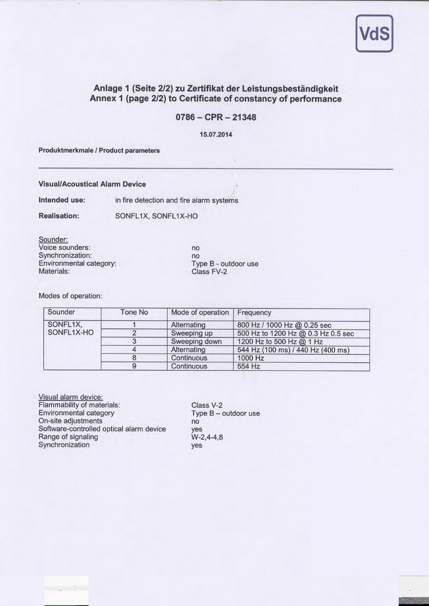

### Anlage 1 (Seite 2/2) zu Zertifikat der Leistungsbeständigkeit Annex 1 (page 2/2) to Certificate of constancy of performance

#### 0786-CPR-21348

15.07.2014

Produktmerkmale / Product parameters

Visual/Acoustical Alarm Device

lntended use: in fire detection and fire alarm systems

Realisation: SONFLIX, SONFLIX-HO

Sounder: Voice sounders: Synchronization: Environmental category: Materials:

no no Type B - outdoor use Class FV-2

Modes of operation:

| Sounder    | Tone No | Mode of operation | Frequency                          |
|------------|---------|-------------------|------------------------------------|
| SONFL1X,   |         | Alternating       | 800 Hz / 1000 Hz @ 0.25 sec        |
| SONFL1X-HO |         | Sweeping up       | 500 Hz to 1200 Hz @ 0.3 Hz 0.5 sec |
|            |         | Sweeping down     | 1200 Hz to 500 Hz @ 1 Hz           |
|            |         | Alternating       | 544 Hz (100 ms) / 440 Hz (400 ms)  |
|            |         | Continuous        | 1000 Hz                            |
|            |         | Continuous        | 554 Hz                             |

Visual alarm device: Flammability of materials: Environmental category On-site adjustments Software-controlled optical alarm device Range of signaling Synchronization

Class V-2 Type B - outdoor use no yes  $W-2, 4-4, 8$ yes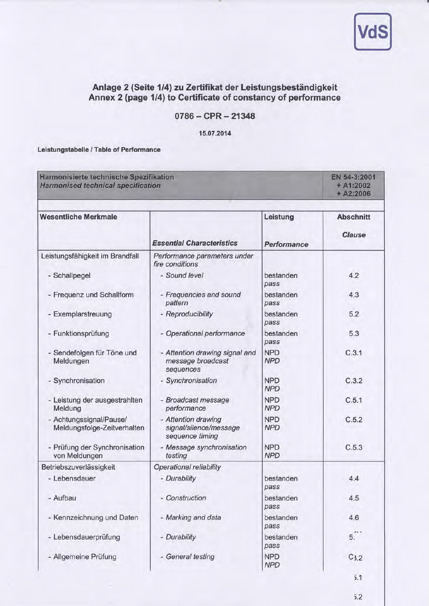

### Anlage 2 (Seite 1/4) zu Zertifikat der Leistungsbeständigkeit Annex 2 (page 1/4) to Certificate of constancy of performance

#### 0786-CPR-21348

15.07.2014

Leistungstabelle /Table of Performance

| Harmonisierte technische Spezifikation<br><b>Harmonised technical specification</b> |                                                                  |                                | EN 54-3:2001<br>$+ A1:2002$<br>$+ A2:2006$ |  |
|-------------------------------------------------------------------------------------|------------------------------------------------------------------|--------------------------------|--------------------------------------------|--|
| <b>Wesentliche Merkmale</b>                                                         | <b>Essential Characteristics</b>                                 | Leistung<br><b>Performance</b> | <b>Abschnitt</b><br><b>Clause</b>          |  |
| Leistungsfähigkeit im Brandfall                                                     | Performance parameters under<br>fire conditions                  |                                |                                            |  |
| - Schallpegel                                                                       | - Sound level                                                    | bestanden<br>pass              | 4.2                                        |  |
| - Frequenz und Schallform                                                           | - Frequencies and sound<br>pattern                               | bestanden<br>pass              | 4.3                                        |  |
| - Exemplarstreuung                                                                  | - Reproducibility                                                | bestanden<br>pass              | 5.2                                        |  |
| - Funktionsprüfung                                                                  | - Operational performance                                        | bestanden<br>pass              | 5.3                                        |  |
| - Sendefolgen für Töne und<br>Meldungen                                             | - Attention drawing signal and<br>message broadcast<br>sequences | <b>NPD</b><br><b>NPD</b>       | C.3.1                                      |  |
| - Synchronisation                                                                   | - Synchronisation                                                | <b>NPD</b><br><b>NPD</b>       | C.3.2                                      |  |
| - Leistung der ausgestrahlten<br>Meldung                                            | - Broadcast message<br>performance                               | <b>NPD</b><br><b>NPD</b>       | C.5.1                                      |  |
| - Achtungssignal/Pause/<br>Meldungsfolge-Zeitverhalten                              | - Attention drawing<br>signal/silence/message<br>sequence timing | <b>NPD</b><br><b>NPD</b>       | C.5.2                                      |  |
| - Prüfung der Synchronisation<br>von Meldungen                                      | - Message synchronisation<br>testing                             | <b>NPD</b><br><b>NPD</b>       | C.5.3                                      |  |
| Betriebszuverlässigkeit                                                             | Operational reliability                                          |                                |                                            |  |
| - Lebensdauer                                                                       | - Durability                                                     | bestanden<br>pass              | 4.4                                        |  |
| - Aufbau                                                                            | - Construction                                                   | bestanden<br>pass              | 4.5                                        |  |
| - Kennzeichnung und Daten                                                           | - Marking and data                                               | bestanden<br>pass              | 4.6                                        |  |
| - Lebensdauerprüfung                                                                | - Durability                                                     | bestanden<br>pass              | 5.                                         |  |
| - Allgemeine Prüfung                                                                | - General testing                                                | <b>NPD</b><br><b>NPD</b>       | C <sub>3.2</sub>                           |  |
|                                                                                     |                                                                  |                                | 5.1                                        |  |

 $5.2$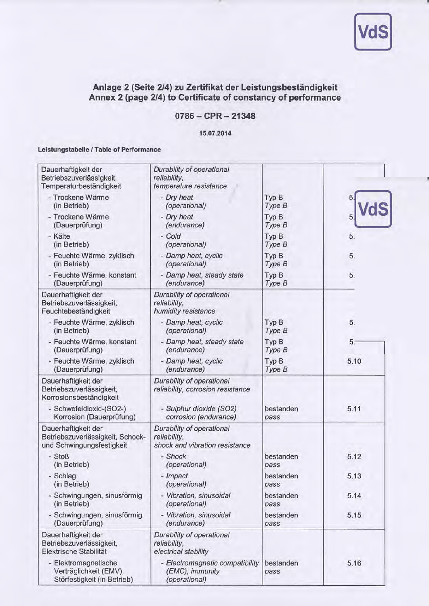

#### Anlage 2 (Seite 2/4) zu Zertifikat der Leistungsbeständigkeit Annex 2 (page 2/4) to Certificate of constancy of performance

#### $0786 - CPR - 21348$

1s.07.2014

#### Leistungstabelle /Table of Performance

| Dauerhaftigkeit der<br>Betriebszuverlässigkeit,<br>Temperaturbeständigkeit           | Durability of operational<br>reliability,<br>temperature resistance         |                   |                |
|--------------------------------------------------------------------------------------|-----------------------------------------------------------------------------|-------------------|----------------|
| - Trockene Wärme                                                                     | - Dry heat                                                                  | Typ B             |                |
| (in Betrieb)                                                                         | (operational)                                                               | Type B            |                |
| - Trockene Wärme                                                                     | - Dry heat                                                                  | Typ B             | 5.             |
| (Dauerprüfung)                                                                       | (endurance)                                                                 | Type B            |                |
| - Kälte                                                                              | - Cold                                                                      | Typ B             | 5.             |
| (in Betrieb)                                                                         | (operational)                                                               | Type B            |                |
| - Feuchte Wärme, zyklisch                                                            | - Damp heat, cyclic                                                         | Typ B             | 5.             |
| (in Betrieb)                                                                         | (operational)                                                               | Type B            |                |
| - Feuchte Wärme, konstant                                                            | - Damp heat, steady state                                                   | Typ B             | 5.             |
| (Dauerprüfung)                                                                       | (endurance)                                                                 | Type B            |                |
| Dauerhaftigkeit der<br>Betriebszuverlässigkeit,<br>Feuchtebeständigkeit              | Durability of operational<br>reliability,<br>humidity resistance            |                   |                |
| - Feuchte Wärme, zyklisch                                                            | - Damp heat, cyclic                                                         | Typ B             | 5.             |
| (in Betrieb)                                                                         | (operational)                                                               | Type B            |                |
| - Feuchte Wärme, konstant                                                            | - Damp heat, steady state                                                   | Typ B             | 5 <sub>z</sub> |
| (Dauerprüfung)                                                                       | (endurance)                                                                 | Type B            |                |
| - Feuchte Wärme, zyklisch                                                            | - Damp heat, cyclic                                                         | Typ B             | 5.10           |
| (Dauerprüfung)                                                                       | (endurance)                                                                 | Type B            |                |
| Dauerhaftigkeit der<br>Betriebszuverlässigkeit,<br>Korrosionsbeständigkeit           | Durability of operational<br>reliability, corrosion resistance              |                   |                |
| - Schwefeldioxid-(SO2-)                                                              | - Sulphur dioxide (SO2)                                                     | bestanden         | 5.11           |
| Korrosion (Dauerprüfung)                                                             | corrosion (endurance)                                                       | pass              |                |
| Dauerhaftigkeit der<br>Betriebszuverlässigkeit, Schock-<br>und Schwingungsfestigkeit | Durability of operational<br>reliability,<br>shock and vibration resistance |                   |                |
| - Stoß                                                                               | - Shock                                                                     | bestanden         | 5.12           |
| (in Betrieb)                                                                         | (operational)                                                               | pass              |                |
| - Schlag                                                                             | - Impact                                                                    | bestanden         | 5.13           |
| (in Betrieb)                                                                         | (operational)                                                               | pass              |                |
| - Schwingungen, sinusförmig                                                          | - Vibration, sinusoidal                                                     | bestanden         | 5.14           |
| (in Betrieb)                                                                         | (operational)                                                               | pass              |                |
| - Schwingungen, sinusförmig                                                          | - Vibration, sinusoidal                                                     | bestanden         | 5.15           |
| (Dauerprüfung)                                                                       | (endurance)                                                                 | pass              |                |
| Dauerhaftigkeit der<br>Betriebszuverlässigkeit,<br>Elektrische Stabilität            | Durability of operational<br>reliability,<br>electrical stability           |                   |                |
| - Elektromagnetische<br>Verträglichkeit (EMV),<br>Störfestigkeit (in Betrieb)        | - Electromagnetic compatibility<br>(EMC), immunity<br>(operational)         | bestanden<br>pass | 5.16           |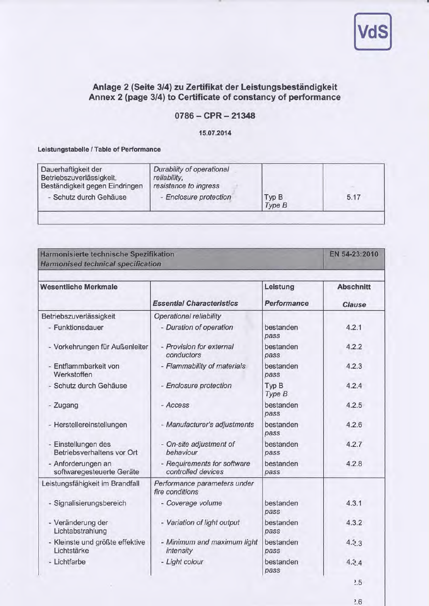

## Anlage 2 (Seite 3/4) zu Zertifikat der Leistungsbeständigkeit Annex 2 (page 3/4) to Certificate of constancy of performance

#### 0786-CPR-21348

15.07.2014

#### Leistungstabelle /Table of Performance

| Dauerhaftigkeit der<br>Betriebszuverlässigkeit,<br>Beständigkeit gegen Eindringen<br>- Schutz durch Gehäuse | Durability of operational<br>reliability,<br>resistance to ingress<br>- Enclosure protection | Typ B  | 5.17 |
|-------------------------------------------------------------------------------------------------------------|----------------------------------------------------------------------------------------------|--------|------|
|                                                                                                             |                                                                                              | Type B |      |

#### Harmonisierte technische Spezifikation **Harmonised technical specification**

EN 54-23:2010

| <b>Wesentliche Merkmale</b>                       | <b>Essential Characteristics</b>                  | Leistung<br>Performance | <b>Abschnitt</b><br><b>Clause</b> |
|---------------------------------------------------|---------------------------------------------------|-------------------------|-----------------------------------|
| Betriebszuverlässigkeit                           | Operational reliability                           |                         |                                   |
| - Funktionsdauer                                  | - Duration of operation                           | bestanden<br>pass       | 4.2.1                             |
| - Vorkehrungen für Außenleiter                    | - Provision for external<br>conductors            | bestanden<br>pass       | 4.2.2                             |
| - Entflammbarkeit von<br>Werkstoffen              | - Flammability of materials                       | bestanden<br>pass       | 4.2.3                             |
| - Schutz durch Gehäuse                            | - Enclosure protection                            | Typ B<br>Type B         | 4.2.4                             |
| - Zugang                                          | - Access                                          | bestanden<br>pass       | 4.2.5                             |
| - Herstellereinstellungen                         | - Manufacturer's adjustments                      | bestanden<br>pass       | 4.2.6                             |
| - Einstellungen des<br>Betriebsverhaltens vor Ort | - On-site adjustment of<br>behaviour              | bestanden<br>pass       | 4.2.7                             |
| - Anforderungen an<br>softwaregesteuerte Geräte   | - Requirements for software<br>controlled devices | bestanden<br>pass       | 4.2.8                             |
| Leistungsfähigkeit im Brandfall                   | Performance parameters under<br>fire conditions   |                         |                                   |
| - Signalisierungsbereich                          | - Coverage volume                                 | bestanden<br>pass       | 4.3.1                             |
| - Veränderung der<br>Lichtabstrahlung             | - Variation of light output                       | bestanden<br>pass       | 4.3.2                             |
| - Kleinste und größte effektive<br>Lichtstärke    | - Minimum and maximum light<br>intensity          | bestanden<br>pass       | 4.3.3                             |
| - Lichtfarbe                                      | - Light colour                                    | bestanden<br>pass       | 4.3.4                             |
|                                                   |                                                   |                         | 2.5                               |

 $2.6$